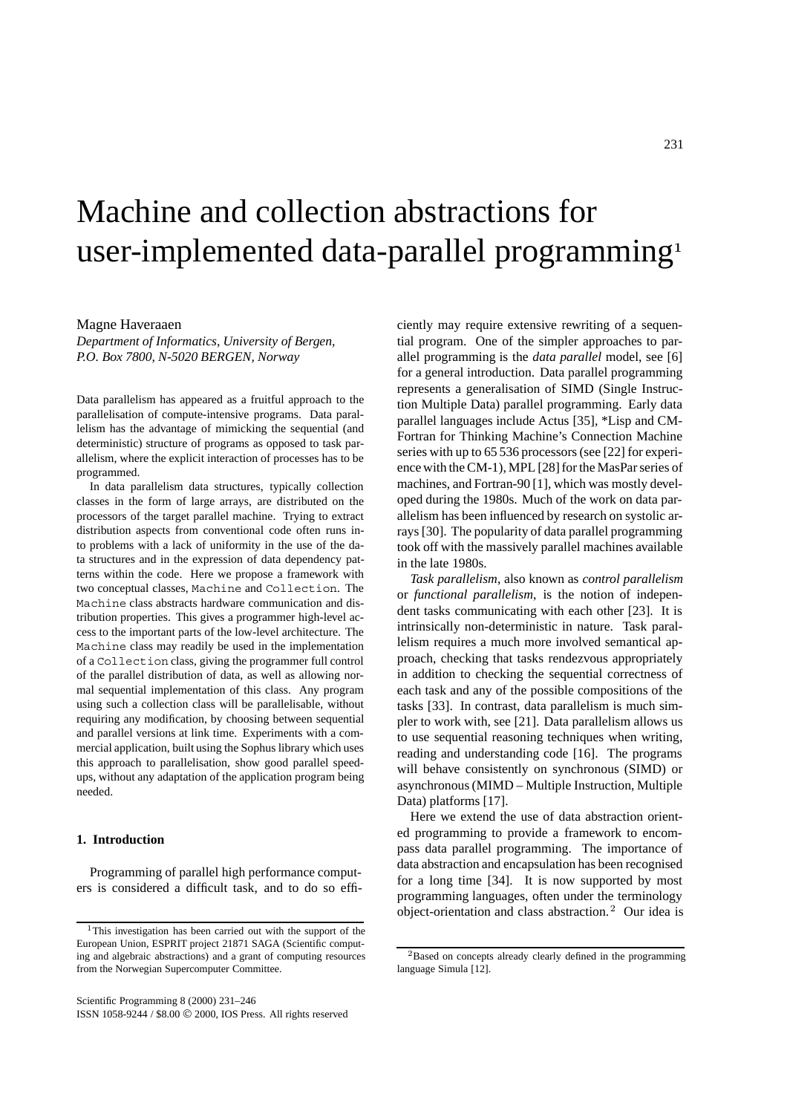# Machine and collection abstractions for user-implemented data-parallel programming**<sup>1</sup>**

### Magne Haveraaen

*Department of Informatics, University of Bergen, P.O. Box 7800, N-5020 BERGEN, Norway*

Data parallelism has appeared as a fruitful approach to the parallelisation of compute-intensive programs. Data parallelism has the advantage of mimicking the sequential (and deterministic) structure of programs as opposed to task parallelism, where the explicit interaction of processes has to be programmed.

In data parallelism data structures, typically collection classes in the form of large arrays, are distributed on the processors of the target parallel machine. Trying to extract distribution aspects from conventional code often runs into problems with a lack of uniformity in the use of the data structures and in the expression of data dependency patterns within the code. Here we propose a framework with two conceptual classes, Machine and Collection. The Machine class abstracts hardware communication and distribution properties. This gives a programmer high-level access to the important parts of the low-level architecture. The Machine class may readily be used in the implementation of a Collection class, giving the programmer full control of the parallel distribution of data, as well as allowing normal sequential implementation of this class. Any program using such a collection class will be parallelisable, without requiring any modification, by choosing between sequential and parallel versions at link time. Experiments with a commercial application, built using the Sophus library which uses this approach to parallelisation, show good parallel speedups, without any adaptation of the application program being needed.

# **1. Introduction**

Programming of parallel high performance computers is considered a difficult task, and to do so effi-

Scientific Programming 8 (2000) 231–246 ISSN 1058-9244 / \$8.00 2000, IOS Press. All rights reserved ciently may require extensive rewriting of a sequential program. One of the simpler approaches to parallel programming is the *data parallel* model, see [6] for a general introduction. Data parallel programming represents a generalisation of SIMD (Single Instruction Multiple Data) parallel programming. Early data parallel languages include Actus [35], \*Lisp and CM-Fortran for Thinking Machine's Connection Machine series with up to 65 536 processors (see [22] for experience with the CM-1), MPL [28] for the MasPar series of machines, and Fortran-90 [1], which was mostly developed during the 1980s. Much of the work on data parallelism has been influenced by research on systolic arrays [30]. The popularity of data parallel programming took off with the massively parallel machines available in the late 1980s.

*Task parallelism*, also known as *control parallelism* or *functional parallelism*, is the notion of independent tasks communicating with each other [23]. It is intrinsically non-deterministic in nature. Task parallelism requires a much more involved semantical approach, checking that tasks rendezvous appropriately in addition to checking the sequential correctness of each task and any of the possible compositions of the tasks [33]. In contrast, data parallelism is much simpler to work with, see [21]. Data parallelism allows us to use sequential reasoning techniques when writing, reading and understanding code [16]. The programs will behave consistently on synchronous (SIMD) or asynchronous (MIMD – Multiple Instruction, Multiple Data) platforms [17].

Here we extend the use of data abstraction oriented programming to provide a framework to encompass data parallel programming. The importance of data abstraction and encapsulation has been recognised for a long time [34]. It is now supported by most programming languages, often under the terminology object-orientation and class abstraction.<sup>2</sup> Our idea is

<sup>1</sup>This investigation has been carried out with the support of the European Union, ESPRIT project 21871 SAGA (Scientific computing and algebraic abstractions) and a grant of computing resources from the Norwegian Supercomputer Committee.

<sup>2</sup>Based on concepts already clearly defined in the programming language Simula [12].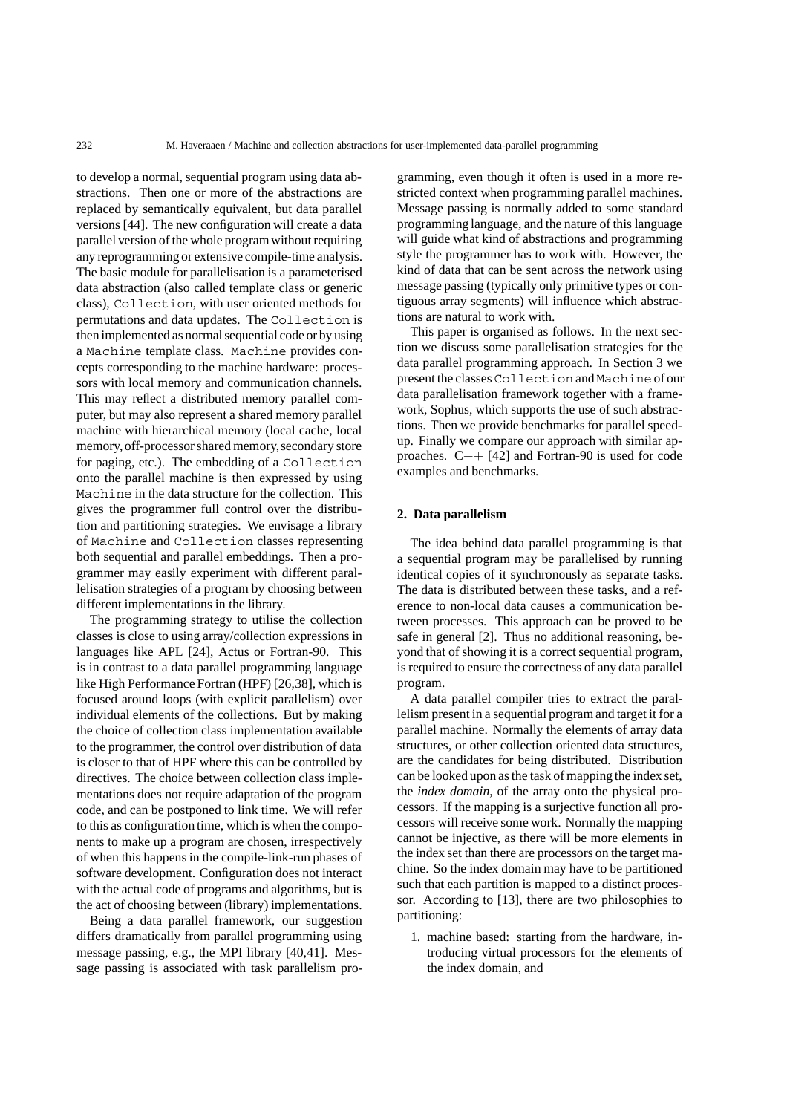to develop a normal, sequential program using data abstractions. Then one or more of the abstractions are replaced by semantically equivalent, but data parallel versions [44]. The new configuration will create a data parallel version of the whole program without requiring any reprogramming or extensive compile-time analysis. The basic module for parallelisation is a parameterised data abstraction (also called template class or generic class), Collection, with user oriented methods for permutations and data updates. The Collection is then implemented as normal sequential code or by using a Machine template class. Machine provides concepts corresponding to the machine hardware: processors with local memory and communication channels. This may reflect a distributed memory parallel computer, but may also represent a shared memory parallel machine with hierarchical memory (local cache, local memory, off-processor shared memory, secondary store for paging, etc.). The embedding of a Collection onto the parallel machine is then expressed by using Machine in the data structure for the collection. This gives the programmer full control over the distribution and partitioning strategies. We envisage a library of Machine and Collection classes representing both sequential and parallel embeddings. Then a programmer may easily experiment with different parallelisation strategies of a program by choosing between different implementations in the library.

The programming strategy to utilise the collection classes is close to using array/collection expressions in languages like APL [24], Actus or Fortran-90. This is in contrast to a data parallel programming language like High Performance Fortran (HPF) [26,38], which is focused around loops (with explicit parallelism) over individual elements of the collections. But by making the choice of collection class implementation available to the programmer, the control over distribution of data is closer to that of HPF where this can be controlled by directives. The choice between collection class implementations does not require adaptation of the program code, and can be postponed to link time. We will refer to this as configuration time, which is when the components to make up a program are chosen, irrespectively of when this happens in the compile-link-run phases of software development. Configuration does not interact with the actual code of programs and algorithms, but is the act of choosing between (library) implementations.

Being a data parallel framework, our suggestion differs dramatically from parallel programming using message passing, e.g., the MPI library [40,41]. Message passing is associated with task parallelism programming, even though it often is used in a more restricted context when programming parallel machines. Message passing is normally added to some standard programming language, and the nature of this language will guide what kind of abstractions and programming style the programmer has to work with. However, the kind of data that can be sent across the network using message passing (typically only primitive types or contiguous array segments) will influence which abstractions are natural to work with.

This paper is organised as follows. In the next section we discuss some parallelisation strategies for the data parallel programming approach. In Section 3 we present the classes Collection and Machineof our data parallelisation framework together with a framework, Sophus, which supports the use of such abstractions. Then we provide benchmarks for parallel speedup. Finally we compare our approach with similar approaches. C++ [42] and Fortran-90 is used for code examples and benchmarks.

# **2. Data parallelism**

The idea behind data parallel programming is that a sequential program may be parallelised by running identical copies of it synchronously as separate tasks. The data is distributed between these tasks, and a reference to non-local data causes a communication between processes. This approach can be proved to be safe in general [2]. Thus no additional reasoning, beyond that of showing it is a correct sequential program, is required to ensure the correctness of any data parallel program.

A data parallel compiler tries to extract the parallelism present in a sequential program and target it for a parallel machine. Normally the elements of array data structures, or other collection oriented data structures, are the candidates for being distributed. Distribution can be looked upon as the task of mapping the index set, the *index domain*, of the array onto the physical processors. If the mapping is a surjective function all processors will receive some work. Normally the mapping cannot be injective, as there will be more elements in the index set than there are processors on the target machine. So the index domain may have to be partitioned such that each partition is mapped to a distinct processor. According to [13], there are two philosophies to partitioning:

1. machine based: starting from the hardware, introducing virtual processors for the elements of the index domain, and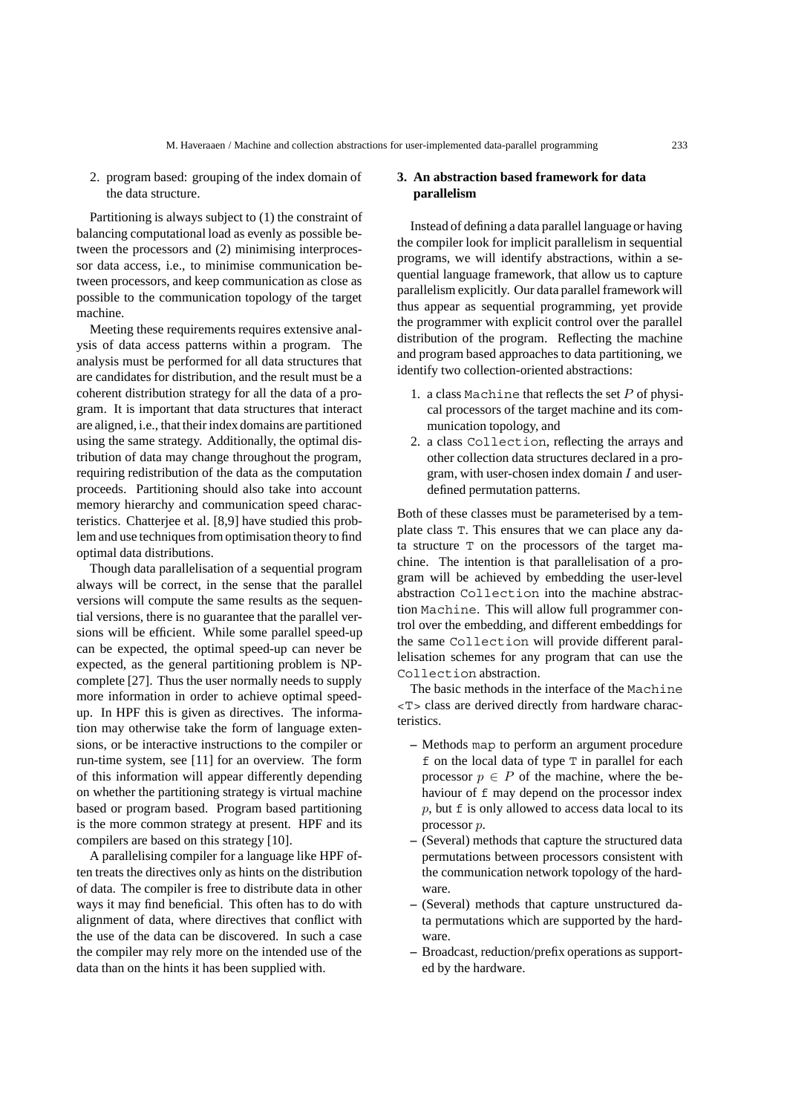2. program based: grouping of the index domain of the data structure.

Partitioning is always subject to (1) the constraint of balancing computational load as evenly as possible between the processors and (2) minimising interprocessor data access, i.e., to minimise communication between processors, and keep communication as close as possible to the communication topology of the target machine.

Meeting these requirements requires extensive analysis of data access patterns within a program. The analysis must be performed for all data structures that are candidates for distribution, and the result must be a coherent distribution strategy for all the data of a program. It is important that data structures that interact are aligned, i.e., that their index domains are partitioned using the same strategy. Additionally, the optimal distribution of data may change throughout the program, requiring redistribution of the data as the computation proceeds. Partitioning should also take into account memory hierarchy and communication speed characteristics. Chatterjee et al. [8,9] have studied this problem and use techniques from optimisation theory to find optimal data distributions.

Though data parallelisation of a sequential program always will be correct, in the sense that the parallel versions will compute the same results as the sequential versions, there is no guarantee that the parallel versions will be efficient. While some parallel speed-up can be expected, the optimal speed-up can never be expected, as the general partitioning problem is NPcomplete [27]. Thus the user normally needs to supply more information in order to achieve optimal speedup. In HPF this is given as directives. The information may otherwise take the form of language extensions, or be interactive instructions to the compiler or run-time system, see [11] for an overview. The form of this information will appear differently depending on whether the partitioning strategy is virtual machine based or program based. Program based partitioning is the more common strategy at present. HPF and its compilers are based on this strategy [10].

A parallelising compiler for a language like HPF often treats the directives only as hints on the distribution of data. The compiler is free to distribute data in other ways it may find beneficial. This often has to do with alignment of data, where directives that conflict with the use of the data can be discovered. In such a case the compiler may rely more on the intended use of the data than on the hints it has been supplied with.

# **3. An abstraction based framework for data parallelism**

Instead of defining a data parallel language or having the compiler look for implicit parallelism in sequential programs, we will identify abstractions, within a sequential language framework, that allow us to capture parallelism explicitly. Our data parallel framework will thus appear as sequential programming, yet provide the programmer with explicit control over the parallel distribution of the program. Reflecting the machine and program based approaches to data partitioning, we identify two collection-oriented abstractions:

- 1. a class Machine that reflects the set  $P$  of physical processors of the target machine and its communication topology, and
- 2. a class Collection, reflecting the arrays and other collection data structures declared in a program, with user-chosen index domain  $I$  and userdefined permutation patterns.

Both of these classes must be parameterised by a template class T. This ensures that we can place any data structure T on the processors of the target machine. The intention is that parallelisation of a program will be achieved by embedding the user-level abstraction Collection into the machine abstraction Machine. This will allow full programmer control over the embedding, and different embeddings for the same Collection will provide different parallelisation schemes for any program that can use the Collection abstraction.

The basic methods in the interface of the Machine <T> class are derived directly from hardware characteristics.

- **–** Methods map to perform an argument procedure  $f$  on the local data of type  $T$  in parallel for each processor  $p \in P$  of the machine, where the behaviour of f may depend on the processor index  $p$ , but  $f$  is only allowed to access data local to its processor p.
- **–** (Several) methods that capture the structured data permutations between processors consistent with the communication network topology of the hardware.
- **–** (Several) methods that capture unstructured data permutations which are supported by the hardware.
- **–** Broadcast, reduction/prefix operations as supported by the hardware.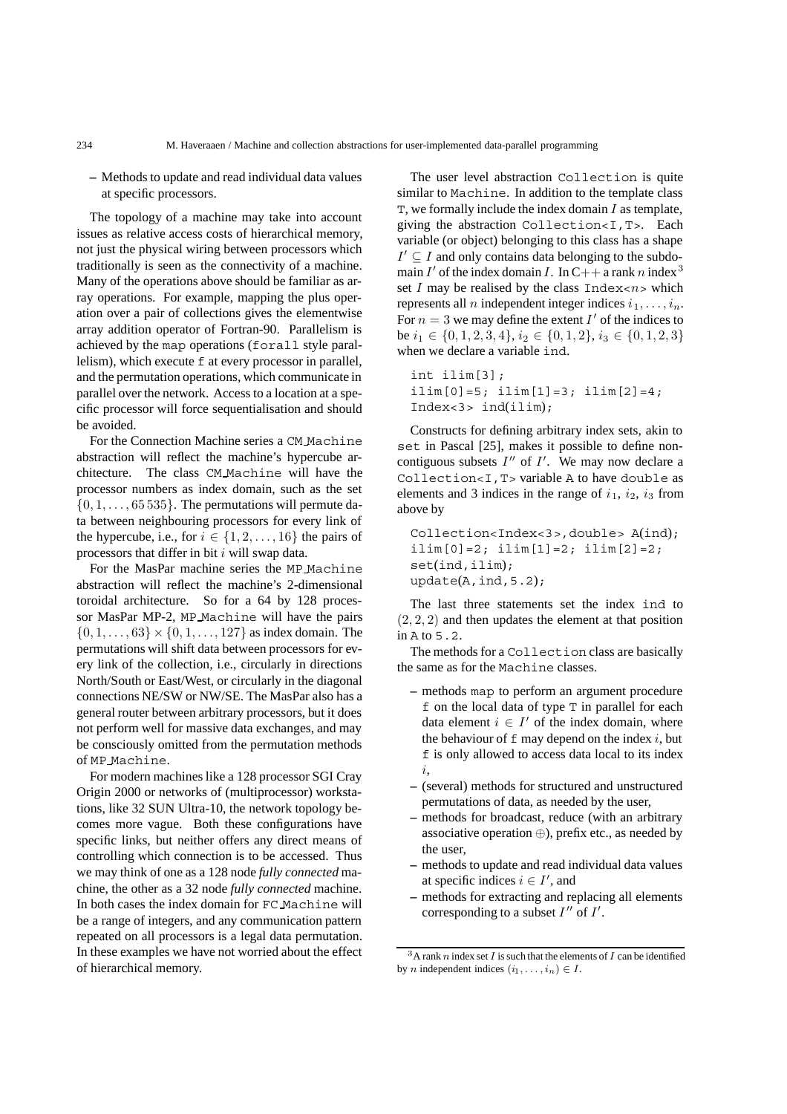**–** Methods to update and read individual data values at specific processors.

The topology of a machine may take into account issues as relative access costs of hierarchical memory, not just the physical wiring between processors which traditionally is seen as the connectivity of a machine. Many of the operations above should be familiar as array operations. For example, mapping the plus operation over a pair of collections gives the elementwise array addition operator of Fortran-90. Parallelism is achieved by the map operations (forall style parallelism), which execute f at every processor in parallel, and the permutation operations, which communicate in parallel over the network. Access to a location at a specific processor will force sequentialisation and should be avoided.

For the Connection Machine series a CM Machine abstraction will reflect the machine's hypercube architecture. The class CM Machine will have the processor numbers as index domain, such as the set  $\{0, 1, \ldots, 65\,535\}$ . The permutations will permute data between neighbouring processors for every link of the hypercube, i.e., for  $i \in \{1, 2, \ldots, 16\}$  the pairs of processors that differ in bit  $i$  will swap data.

For the MasPar machine series the MP Machine abstraction will reflect the machine's 2-dimensional toroidal architecture. So for a 64 by 128 processor MasPar MP-2, MP Machine will have the pairs  $\{0, 1, \ldots, 63\} \times \{0, 1, \ldots, 127\}$  as index domain. The permutations will shift data between processors for every link of the collection, i.e., circularly in directions North/South or East/West, or circularly in the diagonal connections NE/SW or NW/SE. The MasPar also has a general router between arbitrary processors, but it does not perform well for massive data exchanges, and may be consciously omitted from the permutation methods of MP Machine.

For modern machines like a 128 processor SGI Cray Origin 2000 or networks of (multiprocessor) workstations, like 32 SUN Ultra-10, the network topology becomes more vague. Both these configurations have specific links, but neither offers any direct means of controlling which connection is to be accessed. Thus we may think of one as a 128 node *fully connected* machine, the other as a 32 node *fully connected* machine. In both cases the index domain for FC Machine will be a range of integers, and any communication pattern repeated on all processors is a legal data permutation. In these examples we have not worried about the effect of hierarchical memory.

The user level abstraction Collection is quite similar to Machine. In addition to the template class  $T$ , we formally include the index domain  $I$  as template, giving the abstraction Collection<I,T>. Each variable (or object) belonging to this class has a shape  $I' \subseteq I$  and only contains data belonging to the subdomain I' of the index domain I. In C++ a rank n index  $3$ set I may be realised by the class  $Index < n$  which represents all *n* independent integer indices  $i_1, \ldots, i_n$ . For  $n = 3$  we may define the extent  $I'$  of the indices to be  $i_1 \in \{0, 1, 2, 3, 4\}, i_2 \in \{0, 1, 2\}, i_3 \in \{0, 1, 2, 3\}$ when we declare a variable ind.

```
int ilim[3];
ilim[0] = 5; ilim[1] = 3; ilim[2] = 4;
Index<3> ind(ilim);
```
Constructs for defining arbitrary index sets, akin to set in Pascal [25], makes it possible to define noncontiguous subsets  $I''$  of  $I'$ . We may now declare a Collection<I,T> variable A to have double as elements and 3 indices in the range of  $i_1$ ,  $i_2$ ,  $i_3$  from above by

```
Collection<Index<3>,double> A(ind);
ilim[0] = 2; ilim[1] = 2; ilim[2] = 2;
set(ind,ilim);
update(A,ind,5.2);
```
The last three statements set the index ind to  $(2, 2, 2)$  and then updates the element at that position in A to 5.2.

The methods for a Collection class are basically the same as for the Machine classes.

- **–** methods map to perform an argument procedure  $f$  on the local data of type  $T$  in parallel for each data element  $i \in I'$  of the index domain, where the behaviour of  $f$  may depend on the index i, but f is only allowed to access data local to its index i,
- **–** (several) methods for structured and unstructured permutations of data, as needed by the user,
- **–** methods for broadcast, reduce (with an arbitrary associative operation  $\oplus$ ), prefix etc., as needed by the user,
- **–** methods to update and read individual data values at specific indices  $i \in I'$ , and
- **–** methods for extracting and replacing all elements corresponding to a subset  $I''$  of  $I'$ .

 $3A$  rank *n* index set *I* is such that the elements of *I* can be identified by *n* independent indices  $(i_1, \ldots, i_n) \in I$ .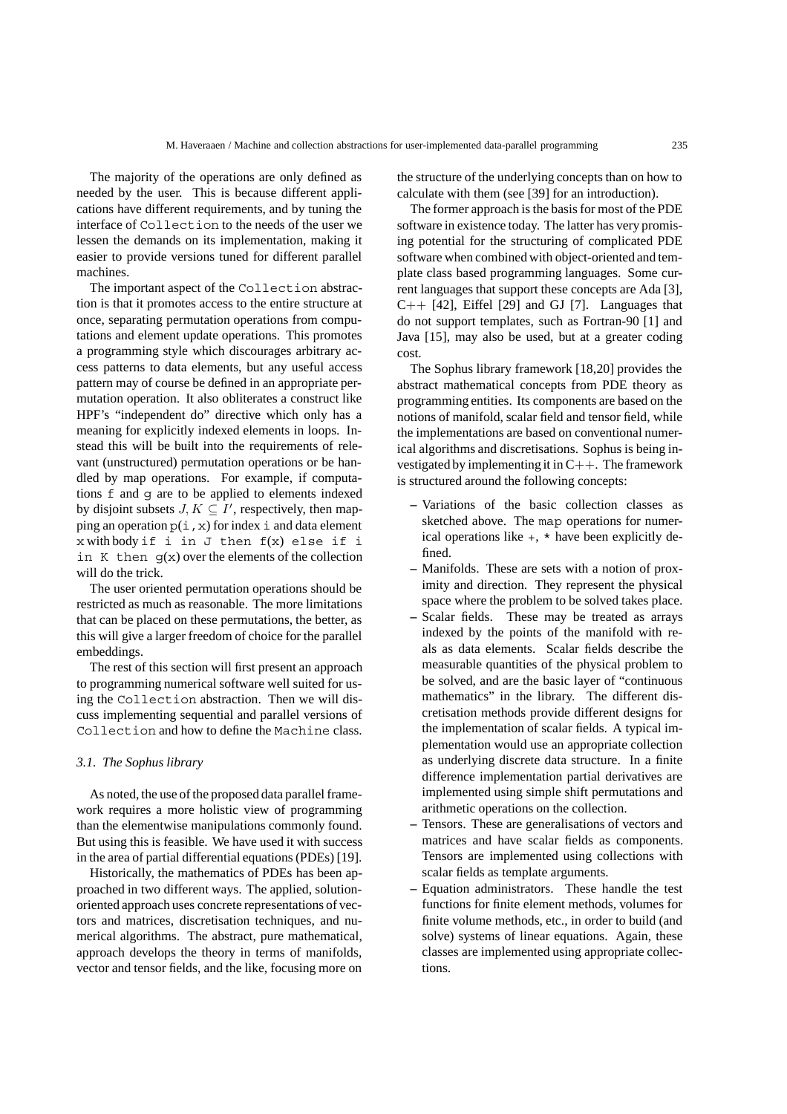The majority of the operations are only defined as needed by the user. This is because different applications have different requirements, and by tuning the interface of Collection to the needs of the user we lessen the demands on its implementation, making it easier to provide versions tuned for different parallel machines.

The important aspect of the Collection abstraction is that it promotes access to the entire structure at once, separating permutation operations from computations and element update operations. This promotes a programming style which discourages arbitrary access patterns to data elements, but any useful access pattern may of course be defined in an appropriate permutation operation. It also obliterates a construct like HPF's "independent do" directive which only has a meaning for explicitly indexed elements in loops. Instead this will be built into the requirements of relevant (unstructured) permutation operations or be handled by map operations. For example, if computations f and g are to be applied to elements indexed by disjoint subsets  $J, K \subseteq I'$ , respectively, then mapping an operation  $p(i, x)$  for index i and data element  $x$  with body if i in J then  $f(x)$  else if i in K then  $g(x)$  over the elements of the collection will do the trick.

The user oriented permutation operations should be restricted as much as reasonable. The more limitations that can be placed on these permutations, the better, as this will give a larger freedom of choice for the parallel embeddings.

The rest of this section will first present an approach to programming numerical software well suited for using the Collection abstraction. Then we will discuss implementing sequential and parallel versions of Collection and how to define the Machine class.

# *3.1. The Sophus library*

As noted, the use of the proposed data parallel framework requires a more holistic view of programming than the elementwise manipulations commonly found. But using this is feasible. We have used it with success in the area of partial differential equations (PDEs) [19].

Historically, the mathematics of PDEs has been approached in two different ways. The applied, solutionoriented approach uses concrete representations of vectors and matrices, discretisation techniques, and numerical algorithms. The abstract, pure mathematical, approach develops the theory in terms of manifolds, vector and tensor fields, and the like, focusing more on

the structure of the underlying concepts than on how to calculate with them (see [39] for an introduction).

The former approach is the basis for most of the PDE software in existence today. The latter has very promising potential for the structuring of complicated PDE software when combined with object-oriented and template class based programming languages. Some current languages that support these concepts are Ada [3],  $C++$  [42], Eiffel [29] and GJ [7]. Languages that do not support templates, such as Fortran-90 [1] and Java [15], may also be used, but at a greater coding cost.

The Sophus library framework [18,20] provides the abstract mathematical concepts from PDE theory as programming entities. Its components are based on the notions of manifold, scalar field and tensor field, while the implementations are based on conventional numerical algorithms and discretisations. Sophus is being investigated by implementing it in  $C++$ . The framework is structured around the following concepts:

- **–** Variations of the basic collection classes as sketched above. The map operations for numerical operations like +, \* have been explicitly defined.
- **–** Manifolds. These are sets with a notion of proximity and direction. They represent the physical space where the problem to be solved takes place.
- **–** Scalar fields. These may be treated as arrays indexed by the points of the manifold with reals as data elements. Scalar fields describe the measurable quantities of the physical problem to be solved, and are the basic layer of "continuous mathematics" in the library. The different discretisation methods provide different designs for the implementation of scalar fields. A typical implementation would use an appropriate collection as underlying discrete data structure. In a finite difference implementation partial derivatives are implemented using simple shift permutations and arithmetic operations on the collection.
- **–** Tensors. These are generalisations of vectors and matrices and have scalar fields as components. Tensors are implemented using collections with scalar fields as template arguments.
- **–** Equation administrators. These handle the test functions for finite element methods, volumes for finite volume methods, etc., in order to build (and solve) systems of linear equations. Again, these classes are implemented using appropriate collections.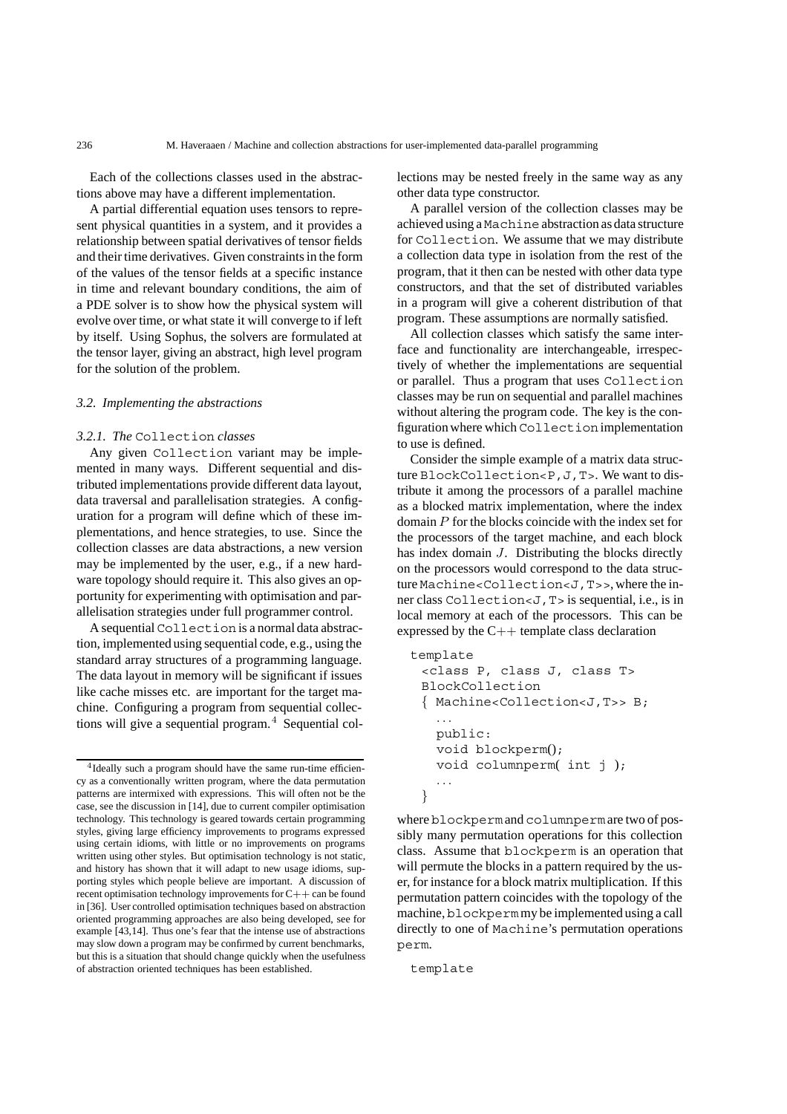Each of the collections classes used in the abstractions above may have a different implementation.

A partial differential equation uses tensors to represent physical quantities in a system, and it provides a relationship between spatial derivatives of tensor fields and their time derivatives. Given constraints in the form of the values of the tensor fields at a specific instance in time and relevant boundary conditions, the aim of a PDE solver is to show how the physical system will evolve over time, or what state it will converge to if left by itself. Using Sophus, the solvers are formulated at the tensor layer, giving an abstract, high level program for the solution of the problem.

#### *3.2. Implementing the abstractions*

### *3.2.1. The* Collection *classes*

Any given Collection variant may be implemented in many ways. Different sequential and distributed implementations provide different data layout, data traversal and parallelisation strategies. A configuration for a program will define which of these implementations, and hence strategies, to use. Since the collection classes are data abstractions, a new version may be implemented by the user, e.g., if a new hardware topology should require it. This also gives an opportunity for experimenting with optimisation and parallelisation strategies under full programmer control.

A sequential Collection is a normal data abstraction, implemented using sequential code, e.g., using the standard array structures of a programming language. The data layout in memory will be significant if issues like cache misses etc. are important for the target machine. Configuring a program from sequential collections will give a sequential program. $4$  Sequential collections may be nested freely in the same way as any other data type constructor.

A parallel version of the collection classes may be achieved using a Machineabstraction as data structure for Collection. We assume that we may distribute a collection data type in isolation from the rest of the program, that it then can be nested with other data type constructors, and that the set of distributed variables in a program will give a coherent distribution of that program. These assumptions are normally satisfied.

All collection classes which satisfy the same interface and functionality are interchangeable, irrespectively of whether the implementations are sequential or parallel. Thus a program that uses Collection classes may be run on sequential and parallel machines without altering the program code. The key is the configuration where which Collectionimplementation to use is defined.

Consider the simple example of a matrix data structure BlockCollection<P,J,T>. We want to distribute it among the processors of a parallel machine as a blocked matrix implementation, where the index domain P for the blocks coincide with the index set for the processors of the target machine, and each block has index domain J. Distributing the blocks directly on the processors would correspond to the data structure Machine<Collection<J,T>>, where the inner class Collection<J,T> is sequential, i.e., is in local memory at each of the processors. This can be expressed by the C++ template class declaration

```
template
 <class P, class J, class T>
 BlockCollection
 { Machine<Collection<J,T>> B;
   ...
   public:
   void blockperm();
   void columnperm( int j);
   ...
 }
```
where blockpermand columnpermare two of possibly many permutation operations for this collection class. Assume that blockperm is an operation that will permute the blocks in a pattern required by the user, for instance for a block matrix multiplication. If this permutation pattern coincides with the topology of the machine, blockperm my be implemented using a call directly to one of Machine's permutation operations perm.

```
template
```
<sup>4</sup>Ideally such a program should have the same run-time efficiency as a conventionally written program, where the data permutation patterns are intermixed with expressions. This will often not be the case, see the discussion in [14], due to current compiler optimisation technology. This technology is geared towards certain programming styles, giving large efficiency improvements to programs expressed using certain idioms, with little or no improvements on programs written using other styles. But optimisation technology is not static, and history has shown that it will adapt to new usage idioms, supporting styles which people believe are important. A discussion of recent optimisation technology improvements for C++ can be found in [36]. User controlled optimisation techniques based on abstraction oriented programming approaches are also being developed, see for example [43,14]. Thus one's fear that the intense use of abstractions may slow down a program may be confirmed by current benchmarks, but this is a situation that should change quickly when the usefulness of abstraction oriented techniques has been established.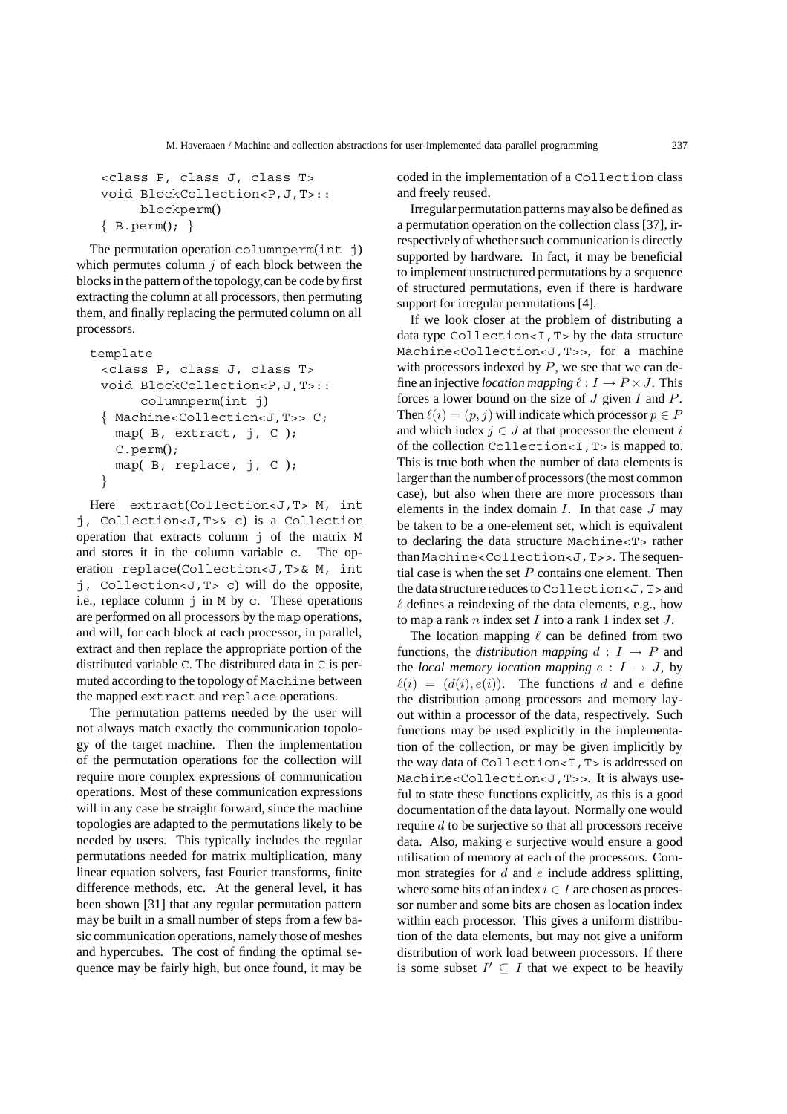```
<class P, class J, class T>
void BlockCollection<P,J,T>::
     blockperm()
{B.perm();}
```
The permutation operation columnperm(int j) which permutes column  $j$  of each block between the blocks in the pattern of the topology,can be code by first extracting the column at all processors, then permuting them, and finally replacing the permuted column on all processors.

```
template
 <class P, class J, class T>
 void BlockCollection<P,J,T>::
      columnperm(int j)
 { Machine<Collection<J,T>> C;
   map(B, extract, j, C);
   C.perm();
   map( B, replace, j, C );
 }
```
Here extract(Collection<J,T> M, int j, Collection<J,T>& c) is a Collection operation that extracts column j of the matrix M and stores it in the column variable c. The operation replace(Collection<J,T>& M, int j, Collection<J,T> c) will do the opposite, i.e., replace column  $\vdots$  in M by c. These operations are performed on all processors by the map operations, and will, for each block at each processor, in parallel, extract and then replace the appropriate portion of the distributed variable C. The distributed data in C is permuted according to the topology of Machine between the mapped extract and replace operations.

The permutation patterns needed by the user will not always match exactly the communication topology of the target machine. Then the implementation of the permutation operations for the collection will require more complex expressions of communication operations. Most of these communication expressions will in any case be straight forward, since the machine topologies are adapted to the permutations likely to be needed by users. This typically includes the regular permutations needed for matrix multiplication, many linear equation solvers, fast Fourier transforms, finite difference methods, etc. At the general level, it has been shown [31] that any regular permutation pattern may be built in a small number of steps from a few basic communication operations, namely those of meshes and hypercubes. The cost of finding the optimal sequence may be fairly high, but once found, it may be

coded in the implementation of a Collection class and freely reused.

Irregular permutation patterns may also be defined as a permutation operation on the collection class [37], irrespectively of whether such communication is directly supported by hardware. In fact, it may be beneficial to implement unstructured permutations by a sequence of structured permutations, even if there is hardware support for irregular permutations [4].

If we look closer at the problem of distributing a data type Collection<I,T> by the data structure Machine<Collection<J,T>>, for a machine with processors indexed by  $P$ , we see that we can define an injective *location mapping*  $\ell : I \to P \times J$ . This forces a lower bound on the size of  $J$  given  $I$  and  $P$ . Then  $\ell(i)=(p, j)$  will indicate which processor  $p \in P$ and which index  $j \in J$  at that processor the element i of the collection Collection<I,T> is mapped to. This is true both when the number of data elements is larger than the number of processors (the most common case), but also when there are more processors than elements in the index domain  $I$ . In that case  $J$  may be taken to be a one-element set, which is equivalent to declaring the data structure Machine<T> rather than Machine<Collection<J,T>>. The sequential case is when the set  $P$  contains one element. Then the data structure reduces to Collection<J,T> and  $\ell$  defines a reindexing of the data elements, e.g., how to map a rank  $n$  index set  $I$  into a rank 1 index set  $J$ .

The location mapping  $\ell$  can be defined from two functions, the *distribution mapping*  $d : I \rightarrow P$  and the *local memory location mapping*  $e : I \rightarrow J$ , by  $\ell(i) = (d(i), e(i))$ . The functions d and e define the distribution among processors and memory layout within a processor of the data, respectively. Such functions may be used explicitly in the implementation of the collection, or may be given implicitly by the way data of Collection<I,T> is addressed on Machine<Collection<J,T>>. It is always useful to state these functions explicitly, as this is a good documentation of the data layout. Normally one would require d to be surjective so that all processors receive data. Also, making e surjective would ensure a good utilisation of memory at each of the processors. Common strategies for  $d$  and  $e$  include address splitting, where some bits of an index  $i \in I$  are chosen as processor number and some bits are chosen as location index within each processor. This gives a uniform distribution of the data elements, but may not give a uniform distribution of work load between processors. If there is some subset  $I' \subseteq I$  that we expect to be heavily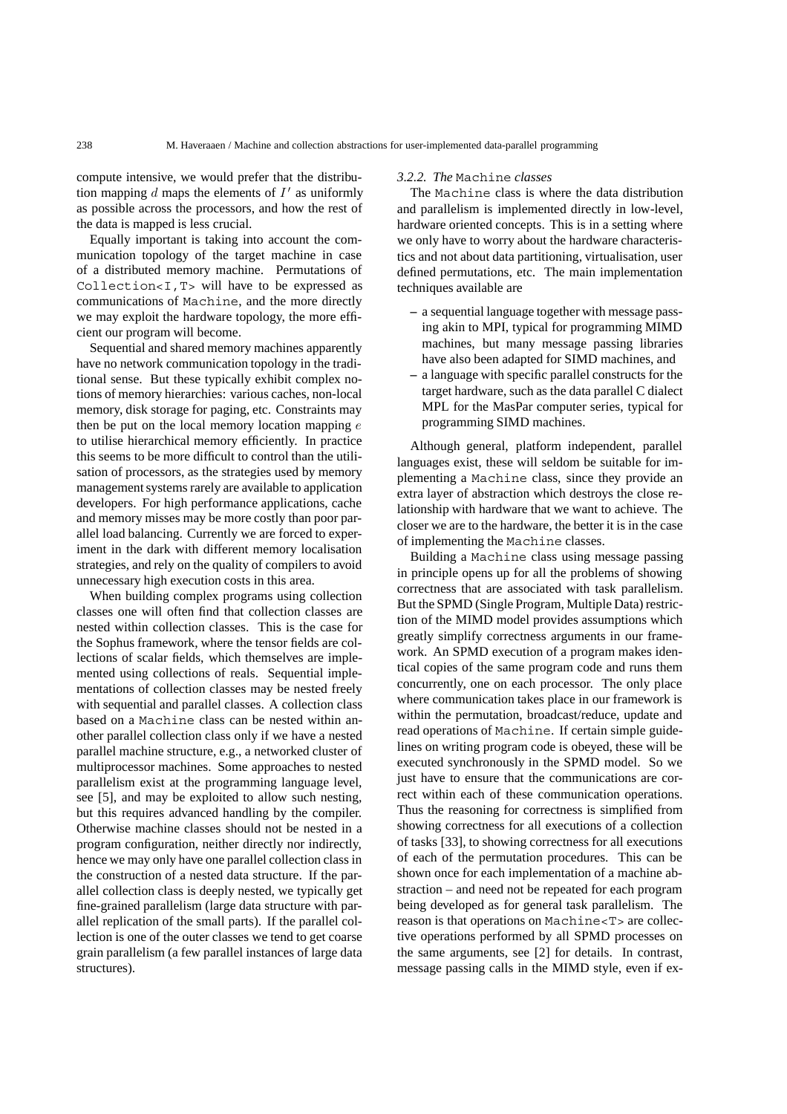compute intensive, we would prefer that the distribution mapping d maps the elements of  $I'$  as uniformly as possible across the processors, and how the rest of the data is mapped is less crucial.

Equally important is taking into account the communication topology of the target machine in case of a distributed memory machine. Permutations of Collection<I,T> will have to be expressed as communications of Machine, and the more directly we may exploit the hardware topology, the more efficient our program will become.

Sequential and shared memory machines apparently have no network communication topology in the traditional sense. But these typically exhibit complex notions of memory hierarchies: various caches, non-local memory, disk storage for paging, etc. Constraints may then be put on the local memory location mapping  $e$ to utilise hierarchical memory efficiently. In practice this seems to be more difficult to control than the utilisation of processors, as the strategies used by memory management systems rarely are available to application developers. For high performance applications, cache and memory misses may be more costly than poor parallel load balancing. Currently we are forced to experiment in the dark with different memory localisation strategies, and rely on the quality of compilers to avoid unnecessary high execution costs in this area.

When building complex programs using collection classes one will often find that collection classes are nested within collection classes. This is the case for the Sophus framework, where the tensor fields are collections of scalar fields, which themselves are implemented using collections of reals. Sequential implementations of collection classes may be nested freely with sequential and parallel classes. A collection class based on a Machine class can be nested within another parallel collection class only if we have a nested parallel machine structure, e.g., a networked cluster of multiprocessor machines. Some approaches to nested parallelism exist at the programming language level, see [5], and may be exploited to allow such nesting, but this requires advanced handling by the compiler. Otherwise machine classes should not be nested in a program configuration, neither directly nor indirectly, hence we may only have one parallel collection class in the construction of a nested data structure. If the parallel collection class is deeply nested, we typically get fine-grained parallelism (large data structure with parallel replication of the small parts). If the parallel collection is one of the outer classes we tend to get coarse grain parallelism (a few parallel instances of large data structures).

#### *3.2.2. The* Machine *classes*

The Machine class is where the data distribution and parallelism is implemented directly in low-level, hardware oriented concepts. This is in a setting where we only have to worry about the hardware characteristics and not about data partitioning, virtualisation, user defined permutations, etc. The main implementation techniques available are

- **–** a sequential language together with message passing akin to MPI, typical for programming MIMD machines, but many message passing libraries have also been adapted for SIMD machines, and
- **–** a language with specific parallel constructs for the target hardware, such as the data parallel C dialect MPL for the MasPar computer series, typical for programming SIMD machines.

Although general, platform independent, parallel languages exist, these will seldom be suitable for implementing a Machine class, since they provide an extra layer of abstraction which destroys the close relationship with hardware that we want to achieve. The closer we are to the hardware, the better it is in the case of implementing the Machine classes.

Building a Machine class using message passing in principle opens up for all the problems of showing correctness that are associated with task parallelism. But the SPMD (Single Program, Multiple Data) restriction of the MIMD model provides assumptions which greatly simplify correctness arguments in our framework. An SPMD execution of a program makes identical copies of the same program code and runs them concurrently, one on each processor. The only place where communication takes place in our framework is within the permutation, broadcast/reduce, update and read operations of Machine. If certain simple guidelines on writing program code is obeyed, these will be executed synchronously in the SPMD model. So we just have to ensure that the communications are correct within each of these communication operations. Thus the reasoning for correctness is simplified from showing correctness for all executions of a collection of tasks [33], to showing correctness for all executions of each of the permutation procedures. This can be shown once for each implementation of a machine abstraction – and need not be repeated for each program being developed as for general task parallelism. The reason is that operations on Machine<T> are collective operations performed by all SPMD processes on the same arguments, see [2] for details. In contrast, message passing calls in the MIMD style, even if ex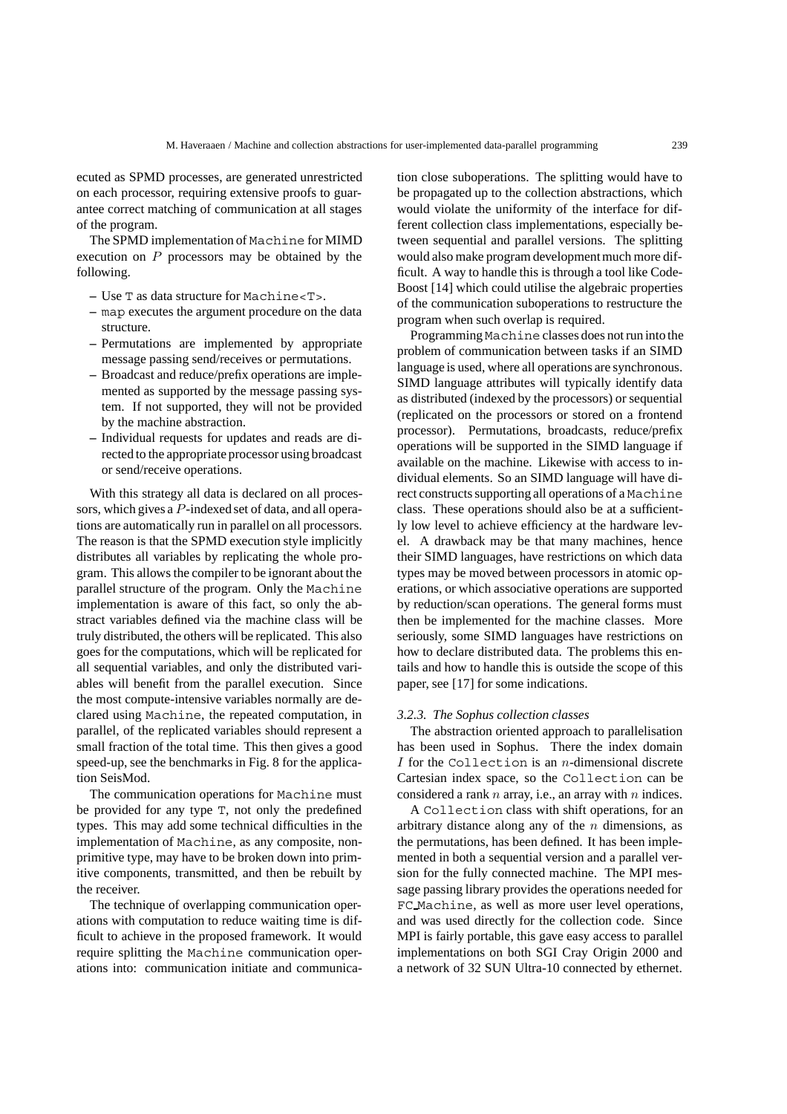ecuted as SPMD processes, are generated unrestricted on each processor, requiring extensive proofs to guarantee correct matching of communication at all stages of the program.

The SPMD implementation of Machine for MIMD execution on  $P$  processors may be obtained by the following.

- **–** Use T as data structure for Machine<T>.
- **–** map executes the argument procedure on the data structure.
- **–** Permutations are implemented by appropriate message passing send/receives or permutations.
- **–** Broadcast and reduce/prefix operations are implemented as supported by the message passing system. If not supported, they will not be provided by the machine abstraction.
- **–** Individual requests for updates and reads are directed to the appropriate processor using broadcast or send/receive operations.

With this strategy all data is declared on all processors, which gives a P-indexed set of data, and all operations are automatically run in parallel on all processors. The reason is that the SPMD execution style implicitly distributes all variables by replicating the whole program. This allows the compiler to be ignorant about the parallel structure of the program. Only the Machine implementation is aware of this fact, so only the abstract variables defined via the machine class will be truly distributed, the others will be replicated. This also goes for the computations, which will be replicated for all sequential variables, and only the distributed variables will benefit from the parallel execution. Since the most compute-intensive variables normally are declared using Machine, the repeated computation, in parallel, of the replicated variables should represent a small fraction of the total time. This then gives a good speed-up, see the benchmarks in Fig. 8 for the application SeisMod.

The communication operations for Machine must be provided for any type T, not only the predefined types. This may add some technical difficulties in the implementation of Machine, as any composite, nonprimitive type, may have to be broken down into primitive components, transmitted, and then be rebuilt by the receiver.

The technique of overlapping communication operations with computation to reduce waiting time is difficult to achieve in the proposed framework. It would require splitting the Machine communication operations into: communication initiate and communication close suboperations. The splitting would have to be propagated up to the collection abstractions, which would violate the uniformity of the interface for different collection class implementations, especially between sequential and parallel versions. The splitting would also make program development much more difficult. A way to handle this is through a tool like Code-Boost [14] which could utilise the algebraic properties of the communication suboperations to restructure the program when such overlap is required.

Programming Machine classes does not run into the problem of communication between tasks if an SIMD language is used, where all operations are synchronous. SIMD language attributes will typically identify data as distributed (indexed by the processors) or sequential (replicated on the processors or stored on a frontend processor). Permutations, broadcasts, reduce/prefix operations will be supported in the SIMD language if available on the machine. Likewise with access to individual elements. So an SIMD language will have direct constructs supporting all operations of a Machine class. These operations should also be at a sufficiently low level to achieve efficiency at the hardware level. A drawback may be that many machines, hence their SIMD languages, have restrictions on which data types may be moved between processors in atomic operations, or which associative operations are supported by reduction/scan operations. The general forms must then be implemented for the machine classes. More seriously, some SIMD languages have restrictions on how to declare distributed data. The problems this entails and how to handle this is outside the scope of this paper, see [17] for some indications.

#### *3.2.3. The Sophus collection classes*

The abstraction oriented approach to parallelisation has been used in Sophus. There the index domain  $I$  for the Collection is an  $n$ -dimensional discrete Cartesian index space, so the Collection can be considered a rank  $n$  array, i.e., an array with  $n$  indices.

A Collection class with shift operations, for an arbitrary distance along any of the  $n$  dimensions, as the permutations, has been defined. It has been implemented in both a sequential version and a parallel version for the fully connected machine. The MPI message passing library provides the operations needed for FC Machine, as well as more user level operations, and was used directly for the collection code. Since MPI is fairly portable, this gave easy access to parallel implementations on both SGI Cray Origin 2000 and a network of 32 SUN Ultra-10 connected by ethernet.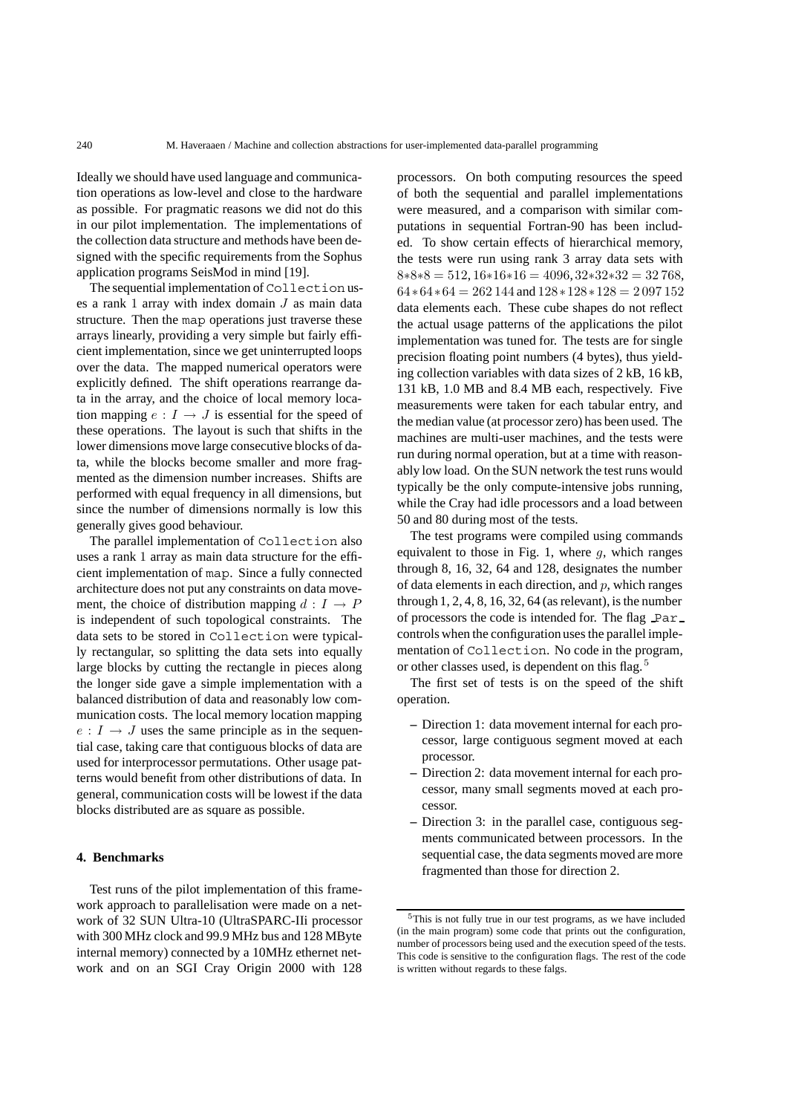Ideally we should have used language and communication operations as low-level and close to the hardware as possible. For pragmatic reasons we did not do this in our pilot implementation. The implementations of the collection data structure and methods have been designed with the specific requirements from the Sophus application programs SeisMod in mind [19].

The sequential implementation of Collection uses a rank  $1$  array with index domain  $J$  as main data structure. Then the map operations just traverse these arrays linearly, providing a very simple but fairly efficient implementation, since we get uninterrupted loops over the data. The mapped numerical operators were explicitly defined. The shift operations rearrange data in the array, and the choice of local memory location mapping  $e: I \to J$  is essential for the speed of these operations. The layout is such that shifts in the lower dimensions move large consecutive blocks of data, while the blocks become smaller and more fragmented as the dimension number increases. Shifts are performed with equal frequency in all dimensions, but since the number of dimensions normally is low this generally gives good behaviour.

The parallel implementation of Collection also uses a rank 1 array as main data structure for the efficient implementation of map. Since a fully connected architecture does not put any constraints on data movement, the choice of distribution mapping  $d : I \rightarrow P$ is independent of such topological constraints. The data sets to be stored in Collection were typically rectangular, so splitting the data sets into equally large blocks by cutting the rectangle in pieces along the longer side gave a simple implementation with a balanced distribution of data and reasonably low communication costs. The local memory location mapping  $e: I \rightarrow J$  uses the same principle as in the sequential case, taking care that contiguous blocks of data are used for interprocessor permutations. Other usage patterns would benefit from other distributions of data. In general, communication costs will be lowest if the data blocks distributed are as square as possible.

## **4. Benchmarks**

Test runs of the pilot implementation of this framework approach to parallelisation were made on a network of 32 SUN Ultra-10 (UltraSPARC-IIi processor with 300 MHz clock and 99.9 MHz bus and 128 MByte internal memory) connected by a 10MHz ethernet network and on an SGI Cray Origin 2000 with 128 processors. On both computing resources the speed of both the sequential and parallel implementations were measured, and a comparison with similar computations in sequential Fortran-90 has been included. To show certain effects of hierarchical memory, the tests were run using rank 3 array data sets with  $8*8*8 = 512, 16*16*16 = 4096, 32*32*32 = 32768,$  $64*64*64 = 262144$  and  $128*128*128 = 2097152$ data elements each. These cube shapes do not reflect the actual usage patterns of the applications the pilot implementation was tuned for. The tests are for single precision floating point numbers (4 bytes), thus yielding collection variables with data sizes of 2 kB, 16 kB, 131 kB, 1.0 MB and 8.4 MB each, respectively. Five measurements were taken for each tabular entry, and the median value (at processor zero) has been used. The machines are multi-user machines, and the tests were run during normal operation, but at a time with reasonably low load. On the SUN network the test runs would typically be the only compute-intensive jobs running, while the Cray had idle processors and a load between 50 and 80 during most of the tests.

The test programs were compiled using commands equivalent to those in Fig. 1, where  $q$ , which ranges through 8, 16, 32, 64 and 128, designates the number of data elements in each direction, and  $p$ , which ranges through 1, 2, 4, 8, 16, 32, 64 (as relevant), is the number of processors the code is intended for. The flag Par controls when the configuration uses the parallel implementation of Collection. No code in the program, or other classes used, is dependent on this flag.<sup>5</sup>

The first set of tests is on the speed of the shift operation.

- **–** Direction 1: data movement internal for each processor, large contiguous segment moved at each processor.
- **–** Direction 2: data movement internal for each processor, many small segments moved at each processor.
- **–** Direction 3: in the parallel case, contiguous segments communicated between processors. In the sequential case, the data segments moved are more fragmented than those for direction 2.

<sup>5</sup>This is not fully true in our test programs, as we have included (in the main program) some code that prints out the configuration, number of processors being used and the execution speed of the tests. This code is sensitive to the configuration flags. The rest of the code is written without regards to these falgs.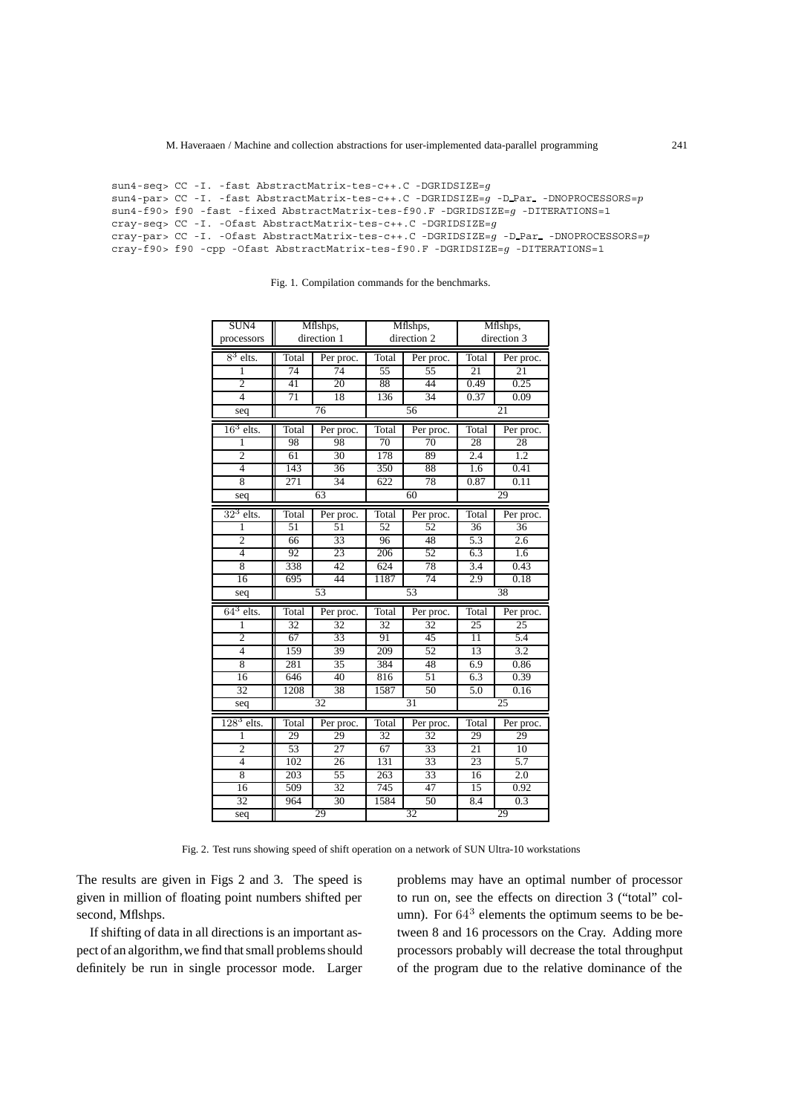M. Haveraaen / Machine and collection abstractions for user-implemented data-parallel programming 241

```
sun4-seq> CC -I. -fast AbstractMatrix-tes-c++.C -DGRIDSIZE=g
sun4-par> CC -I. -fast AbstractMatrix-tes-c++.C -DGRIDSIZE=g -D_Par_ -DNOPROCESSORS=p<br>sun4-f90> f90 -fast -fixed AbstractMatrix-tes-f90 F -DGPIDSIZE-a -DITFRATIONS-1
sun4-f90> f90 -fast -fixed AbstractMatrix-tes-f90.F -DGRIDSIZE=g -DITERATIONS=1
cray-seq> CC -I. -Ofast AbstractMatrix-tes-c++.C -DGRIDSIZE=g
cray-par> CC -I. -Ofast AbstractMatrix-tes-c++.C -DGRIDSIZE=g -D Par -DNOPROCESSORS=p
cray-f90> f90 -cpp -Ofast AbstractMatrix-tes-f90.F -DGRIDSIZE=g -DITERATIONS=1
```

| SUN <sub>4</sub> | Mflshps, |                 |       | Mflshps,    | Mflshps,        |             |  |
|------------------|----------|-----------------|-------|-------------|-----------------|-------------|--|
| processors       |          | direction 1     |       | direction 2 |                 | direction 3 |  |
| $8^3$ elts.      | Total    | Per proc.       | Total | Per proc.   | Total           | Per proc.   |  |
| 1                | 74       | 74              | 55    | 55          | 21              | 21          |  |
| $\overline{2}$   | 41       | 20              | 88    | 44          | 0.49            | 0.25        |  |
| $\overline{4}$   | 71       | 18              | 136   | 34          | 0.37            | 0.09        |  |
| seq              |          | 76              |       | 56          |                 | 21          |  |
| $163$ elts.      | Total    | Per proc.       | Total | Per proc.   | Total           | Per proc.   |  |
| 1                | 98       | 98              | 70    | 70          | 28              | 28          |  |
| $\overline{2}$   | 61       | 30              | 178   | 89          | 2.4             | 1.2         |  |
| $\overline{4}$   | 143      | 36              | 350   | 88          | 1.6             | 0.41        |  |
| 8                | 271      | 34              | 622   | 78          | 0.87            | 0.11        |  |
| seq              |          | 63              |       | 60          |                 | 29          |  |
| $323$ elts.      | Total    | Per proc.       | Total | Per proc.   | Total           | Per proc.   |  |
| 1                | 51       | 51              | 52    | 52          | 36              | 36          |  |
| $\overline{2}$   | 66       | 33              | 96    | 48          | 5.3             | 2.6         |  |
| $\overline{4}$   | 92       | 23              | 206   | 52          | 6.3             | 1.6         |  |
| 8                | 338      | 42              | 624   | 78          | 3.4             | 0.43        |  |
| 16               | 695      | 44              | 1187  | 74          | 2.9             | 0.18        |  |
| seq              |          | 53              |       | 53          |                 | 38          |  |
| $64^3$ elts.     | Total    | Per proc.       | Total | Per proc.   | Total           | Per proc.   |  |
| 1                | 32       | 32              | 32    | 32          | 25              | 25          |  |
| $\overline{2}$   | 67       | 33              | 91    | 45          | $\overline{11}$ | 5.4         |  |
| $\overline{4}$   | 159      | 39              | 209   | 52          | 13              | 3.2         |  |
| 8                | 281      | 35              | 384   | 48          | 6.9             | 0.86        |  |
| 16               | 646      | 40              | 816   | 51          | 6.3             | 0.39        |  |
| 32               | 1208     | 38              | 1587  | 50          | 5.0             | 0.16        |  |
| seq              |          | 32              |       | 31          |                 | 25          |  |
| $1283$ elts.     | Total    | Per proc.       | Total | Per proc.   | Total           | Per proc.   |  |
| 1                | 29       | 29              | 32    | 32          | 29              | 29          |  |
| $\overline{2}$   | 53       | $\overline{27}$ | 67    | 33          | 21              | 10          |  |
| $\overline{4}$   | 102      | 26              | 131   | 33          | 23              | 5.7         |  |
| 8                | 203      | 55              | 263   | 33          | 16              | 2.0         |  |
| 16               | 509      | 32              | 745   | 47          | 15              | 0.92        |  |
| $\overline{32}$  | 964      | 30              | 1584  | 50          | 8.4             | 0.3         |  |
| seq              | 29       |                 |       | 32          | 29              |             |  |

Fig. 1. Compilation commands for the benchmarks.

Fig. 2. Test runs showing speed of shift operation on a network of SUN Ultra-10 workstations

The results are given in Figs 2 and 3. The speed is given in million of floating point numbers shifted per second, Mflshps.

If shifting of data in all directions is an important aspect of an algorithm, we find that small problems should definitely be run in single processor mode. Larger problems may have an optimal number of processor to run on, see the effects on direction 3 ("total" column). For  $64^3$  elements the optimum seems to be between 8 and 16 processors on the Cray. Adding more processors probably will decrease the total throughput of the program due to the relative dominance of the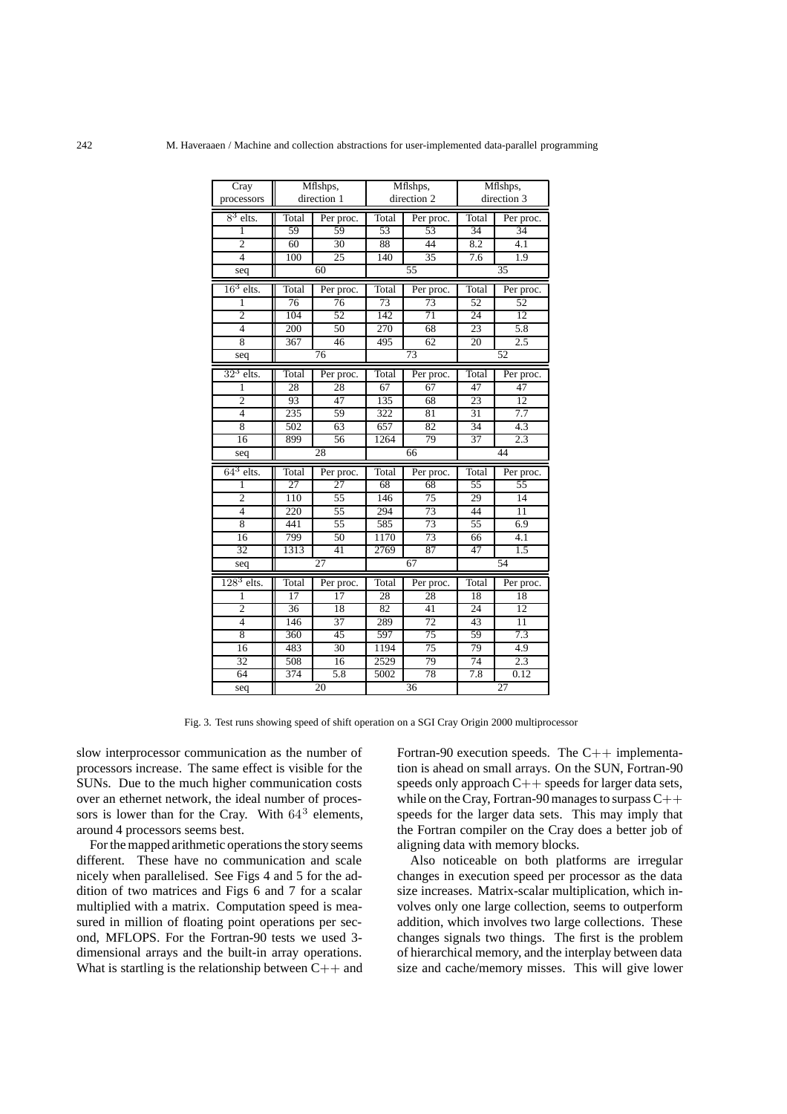| Cray           | Mflshps, |                 |       | Mflshps,        | Mflshps, |                         |  |
|----------------|----------|-----------------|-------|-----------------|----------|-------------------------|--|
| processors     |          | direction 1     |       | direction 2     |          | direction 3             |  |
| $8^3$ elts.    | Total    | Per proc.       | Total | Per proc.       | Total    | Per proc.               |  |
| 1              | 59       | 59              | 53    | 53              | 34       | 34                      |  |
| $\overline{2}$ | 60       | 30              | 88    | 44              | 8.2      | 4.1                     |  |
| $\overline{4}$ | 100      | $\overline{25}$ | 140   | $\overline{35}$ | 7.6      | 1.9                     |  |
| seq            |          | 60              |       | 55              |          | $\overline{35}$         |  |
| $163$ elts.    | Total    | Per proc.       | Total | Per proc.       | Total    | Per proc.               |  |
| 1              | 76       | 76              | 73    | 73              | 52       | 52                      |  |
| $\overline{2}$ | 104      | 52              | 142   | 71              | 24       | 12                      |  |
| $\overline{4}$ | 200      | 50              | 270   | 68              | 23       | 5.8                     |  |
| 8              | 367      | 46              | 495   | 62              | 20       | 2.5                     |  |
| seq            |          | 76              |       | 73              |          | 52                      |  |
| $323$ elts.    | Total    | Per proc.       | Total | Per proc.       | Total    | Per proc.               |  |
| 1              | 28       | 28              | 67    | 67              | 47       | 47                      |  |
| $\overline{2}$ | 93       | 47              | 135   | 68              | 23       | 12                      |  |
| $\overline{4}$ | 235      | 59              | 322   | 81              | 31       | 7.7                     |  |
| 8              | 502      | 63              | 657   | 82              | 34       | 4.3                     |  |
| 16             | 899      | 56              | 1264  | 79              | 37       | 2.3                     |  |
| seq            |          | 28              |       | 66              |          | 44                      |  |
| $64^3$ elts.   | Total    | Per proc.       | Total | Per proc.       | Total    | Per proc.               |  |
| 1              | 27       | 27              | 68    | 68              | 55       | 55                      |  |
| $\overline{2}$ | 110      | 55              | 146   | 75              | 29       | 14                      |  |
| $\overline{4}$ | 220      | 55              | 294   | 73              | 44       | $\overline{11}$         |  |
| 8              | 441      | 55              | 585   | 73              | 55       | 6.9                     |  |
| 16             | 799      | 50              | 1170  | 73              | 66       | 4.1                     |  |
| 32             | 1313     | 41              | 2769  | 87              | 47       | 1.5                     |  |
| seq            |          | $\overline{27}$ |       | 67              |          | 54                      |  |
| $1283$ elts.   | Total    | Per proc.       | Total | Per proc.       | Total    | Per proc.               |  |
| 1              | 17       | 17              | 28    | 28              | 18       | 18                      |  |
| $\overline{2}$ |          |                 | 82    | 41              | 24       | 12                      |  |
|                | 36       | 18              |       |                 |          |                         |  |
| $\overline{4}$ | 146      | 37              | 289   | 72              | 43       | $\overline{11}$         |  |
| 8              | 360      | 45              | 597   | 75              | 59       | 7.3                     |  |
| 16             | 483      | 30              | 1194  | 75              | 79       | 4.9                     |  |
| 32             | 508      | 16              | 2529  | 79              | 74       | 2.3                     |  |
| 64             | 374      | 5.8<br>20       | 5002  | 78<br>36        | 7.8      | 0.12<br>$\overline{27}$ |  |

Fig. 3. Test runs showing speed of shift operation on a SGI Cray Origin 2000 multiprocessor

slow interprocessor communication as the number of processors increase. The same effect is visible for the SUNs. Due to the much higher communication costs over an ethernet network, the ideal number of processors is lower than for the Cray. With  $64<sup>3</sup>$  elements, around 4 processors seems best.

For the mapped arithmetic operations the story seems different. These have no communication and scale nicely when parallelised. See Figs 4 and 5 for the addition of two matrices and Figs 6 and 7 for a scalar multiplied with a matrix. Computation speed is measured in million of floating point operations per second, MFLOPS. For the Fortran-90 tests we used 3 dimensional arrays and the built-in array operations. What is startling is the relationship between  $C++$  and Fortran-90 execution speeds. The  $C++$  implementation is ahead on small arrays. On the SUN, Fortran-90 speeds only approach  $C++$  speeds for larger data sets, while on the Cray, Fortran-90 manages to surpass  $C++$ speeds for the larger data sets. This may imply that the Fortran compiler on the Cray does a better job of aligning data with memory blocks.

Also noticeable on both platforms are irregular changes in execution speed per processor as the data size increases. Matrix-scalar multiplication, which involves only one large collection, seems to outperform addition, which involves two large collections. These changes signals two things. The first is the problem of hierarchical memory, and the interplay between data size and cache/memory misses. This will give lower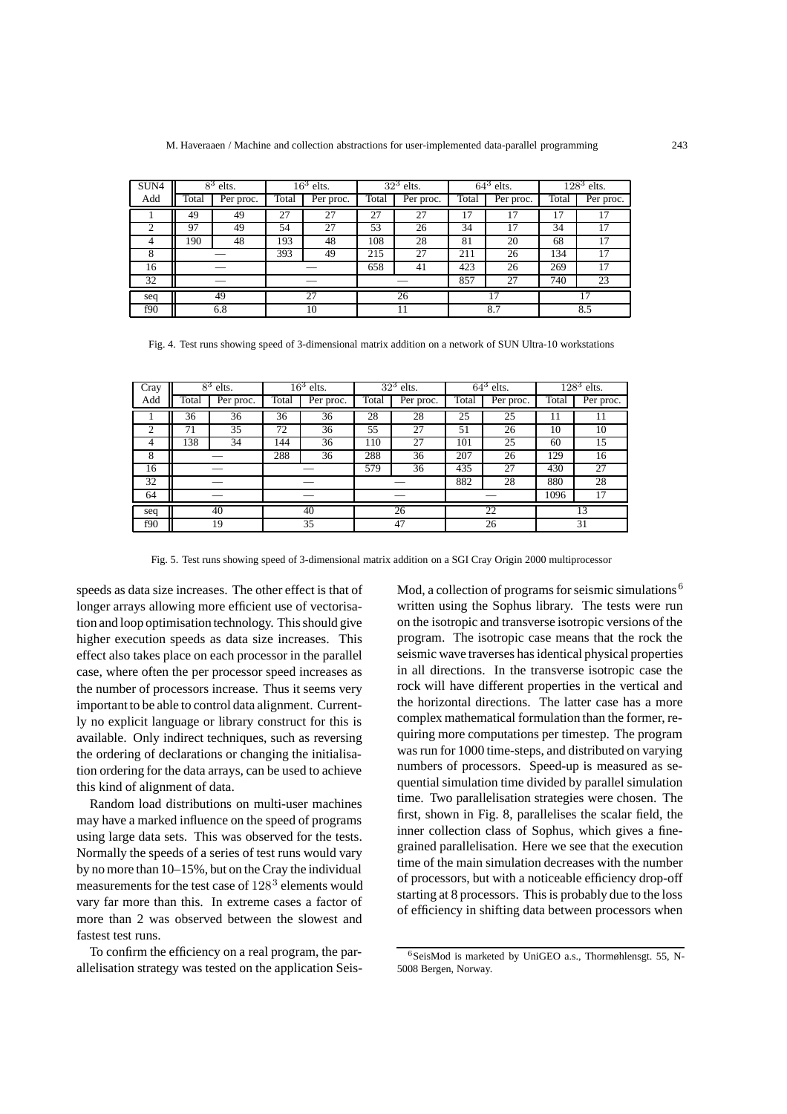| SUN <sub>4</sub> | $83$ elts. |           | $163$ elts. |           | $323$ elts. |           | $64^3$ elts. |           | $1283$ elts. |           |
|------------------|------------|-----------|-------------|-----------|-------------|-----------|--------------|-----------|--------------|-----------|
| Add              | Total      | Per proc. | Total       | Per proc. | Total       | Per proc. | Total        | Per proc. | Total        | Per proc. |
|                  | 49         | 49        | 27          | 27        | 27          | 27        | 17           | ۱7        | 17           |           |
| 2                | 97         | 49        | 54          | 27        | 53          | 26        | 34           | 17        | 34           | 17        |
| 4                | 190        | 48        | 193         | 48        | 108         | 28        | 81           | 20        | 68           |           |
| 8                |            |           | 393         | 49        | 215         | 27        | 211          | 26        | 134          |           |
| 16               |            |           |             |           | 658         | 41        | 423          | 26        | 269          | 17        |
| 32               |            |           |             |           |             |           |              | 27        | 740          | 23        |
| seq              |            | 49        | 27          |           | 26          |           | 17           |           | 17           |           |
| f90              | 6.8        |           |             | 10        |             |           | 8.7          |           | 8.5          |           |

Fig. 4. Test runs showing speed of 3-dimensional matrix addition on a network of SUN Ultra-10 workstations

| Cray | $8^3$ elts. |           | $163$ elts. |           | $323$ elts. |           | $64^3$ elts. |           | $1283$ elts. |           |  |
|------|-------------|-----------|-------------|-----------|-------------|-----------|--------------|-----------|--------------|-----------|--|
| Add  | Total       | Per proc. | Total       | Per proc. | Total       | Per proc. | Total        | Per proc. | Total        | Per proc. |  |
|      | 36          | 36        | 36          | 36        | 28          | 28        | 25           | 25        | 11           | 11        |  |
| 2    | 71          | 35        | 72          | 36        | 55          | 27        | 51           | 26        | 10           | 10        |  |
| 4    | 138         | 34        | 144         | 36        | 110         | 27        | 101          | 25        | 60           | 15        |  |
| 8    |             |           | 288         | 36        | 288         | 36        | 207          | 26        | 129          | 16        |  |
| 16   |             |           |             |           | 579         | 36        | 435          | 27        | 430          | 27        |  |
| 32   |             |           |             |           |             |           |              | 28        | 880          | 28        |  |
| 64   |             |           |             |           |             |           |              |           |              | 17        |  |
| seq  | 40          |           | 40          |           |             | 26        |              | 22        |              | 13        |  |
| f90  |             | 19        |             | 35        |             | 47        |              | 26        |              | 31        |  |

Fig. 5. Test runs showing speed of 3-dimensional matrix addition on a SGI Cray Origin 2000 multiprocessor

speeds as data size increases. The other effect is that of longer arrays allowing more efficient use of vectorisation and loop optimisation technology. This should give higher execution speeds as data size increases. This effect also takes place on each processor in the parallel case, where often the per processor speed increases as the number of processors increase. Thus it seems very important to be able to control data alignment. Currently no explicit language or library construct for this is available. Only indirect techniques, such as reversing the ordering of declarations or changing the initialisation ordering for the data arrays, can be used to achieve this kind of alignment of data.

Random load distributions on multi-user machines may have a marked influence on the speed of programs using large data sets. This was observed for the tests. Normally the speeds of a series of test runs would vary by no more than 10–15%, but on the Cray the individual measurements for the test case of  $128<sup>3</sup>$  elements would vary far more than this. In extreme cases a factor of more than 2 was observed between the slowest and fastest test runs.

To confirm the efficiency on a real program, the parallelisation strategy was tested on the application SeisMod, a collection of programs for seismic simulations  $6$ written using the Sophus library. The tests were run on the isotropic and transverse isotropic versions of the program. The isotropic case means that the rock the seismic wave traverses has identical physical properties in all directions. In the transverse isotropic case the rock will have different properties in the vertical and the horizontal directions. The latter case has a more complex mathematical formulation than the former, requiring more computations per timestep. The program was run for 1000 time-steps, and distributed on varying numbers of processors. Speed-up is measured as sequential simulation time divided by parallel simulation time. Two parallelisation strategies were chosen. The first, shown in Fig. 8, parallelises the scalar field, the inner collection class of Sophus, which gives a finegrained parallelisation. Here we see that the execution time of the main simulation decreases with the number of processors, but with a noticeable efficiency drop-off starting at 8 processors. This is probably due to the loss of efficiency in shifting data between processors when

 $6$ SeisMod is marketed by UniGEO a.s., Thormøhlensgt. 55, N-5008 Bergen, Norway.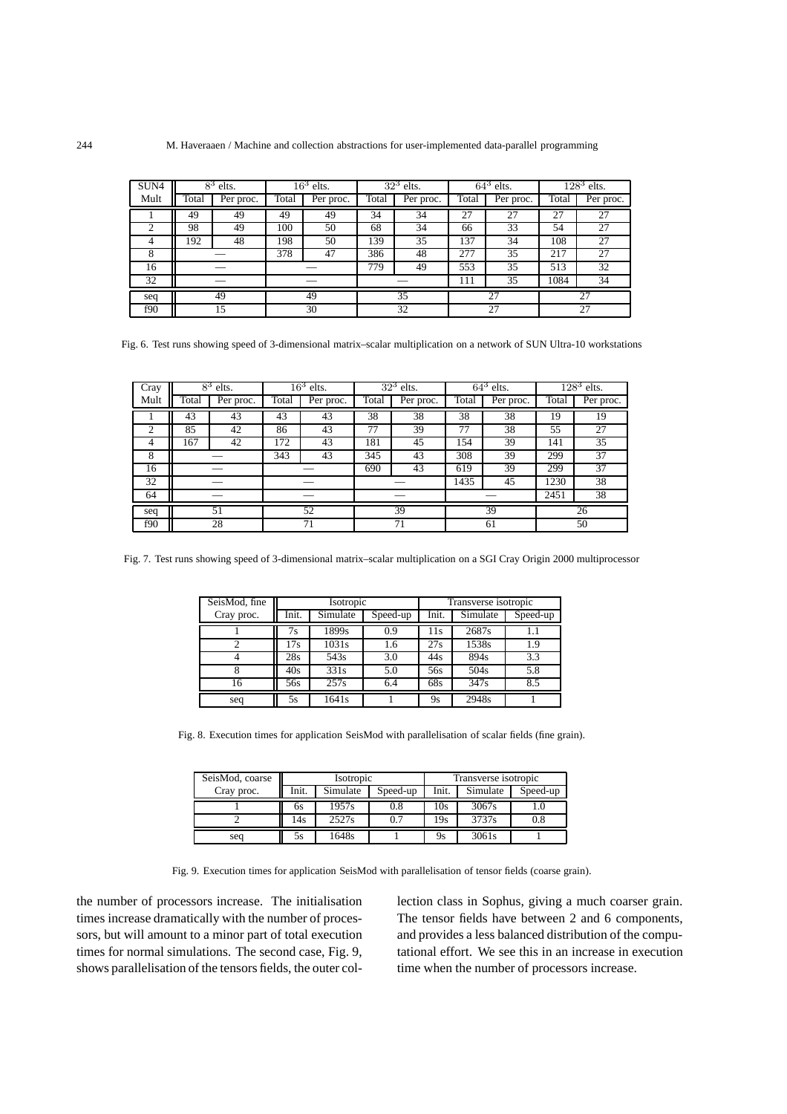| SUN4 |       | $83$ elts. |       | $163$ elts. |       | $323$ elts. |       | $64^3$ elts. |       | $1283$ elts. |
|------|-------|------------|-------|-------------|-------|-------------|-------|--------------|-------|--------------|
| Mult | Total | Per proc.  | Total | Per proc.   | Total | Per proc.   | Total | Per proc.    | Total | Per proc.    |
|      | 49    | 49         | 49    | 49          | 34    | 34          | 27    | 27           | 27    | 27           |
|      | 98    | 49         | 100   | 50          | 68    | 34          | 66    | 33           | 54    | 27           |
|      | 192   | 48         | 198   | 50          | 139   | 35          | 137   | 34           | 108   | 27           |
| 8    |       |            | 378   | 47          | 386   | 48          | 277   | 35           | 217   | 27           |
| 16   |       |            |       |             | 779   | 49          | 553   | 35           | 513   | 32           |
| 32   |       |            |       |             |       |             | 111   | 35           | 1084  | 34           |
| seq  |       | 49         | 49    |             | 35    |             |       | 27           |       | 27           |
| f90  | 15    |            |       | 30          |       | 32          | 27    |              | 27    |              |

Fig. 6. Test runs showing speed of 3-dimensional matrix–scalar multiplication on a network of SUN Ultra-10 workstations

| Cray | 83<br>elts. |           |       | $163$ elts. |       | $323$ elts. |       | $64^3$ elts. |       | $1283$ elts. |  |
|------|-------------|-----------|-------|-------------|-------|-------------|-------|--------------|-------|--------------|--|
| Mult | Total       | Per proc. | Total | Per proc.   | Total | Per proc.   | Total | Per proc.    | Total | Per proc.    |  |
|      | 43          | 43        | 43    | 43          | 38    | 38          | 38    | 38           | 19    | 19           |  |
| ↑    | 85          | 42        | 86    | 43          | 77    | 39          | 77    | 38           | 55    | 27           |  |
| 4    | 167         | 42        | 172   | 43          | 181   | 45          | 154   | 39           | 141   | 35           |  |
| 8    |             |           | 343   | 43          | 345   | 43          | 308   | 39           | 299   | 37           |  |
| 16   |             |           |       |             | 690   | 43          | 619   | 39           | 299   | 37           |  |
| 32   |             |           |       |             |       |             |       | 45           | 1230  | 38           |  |
| 64   |             |           |       |             |       |             |       |              | 2451  | 38           |  |
| seq  | 51          |           | 52    |             | 39    |             | 39    |              |       | 26           |  |
| f90  |             | 28        |       | 71          | 71    |             | 61    |              | 50    |              |  |

Fig. 7. Test runs showing speed of 3-dimensional matrix–scalar multiplication on a SGI Cray Origin 2000 multiprocessor

| SeisMod, fine |       | Isotropic         |          | Transverse isotropic |                   |          |  |  |
|---------------|-------|-------------------|----------|----------------------|-------------------|----------|--|--|
| Cray proc.    | Init. | Simulate          | Speed-up | Init.                | Simulate          | Speed-up |  |  |
|               | 7s    | 1899s             | 0.9      | 11s                  | 2687s             |          |  |  |
|               | 17s   | 1031 <sub>s</sub> | 1.6      | 27s                  | 1538s             | 1.9      |  |  |
|               | 28s   | 543s              | 3.0      | 44s                  | 894s              | 3.3      |  |  |
| 8             | 40s   | 331s              | 5.0      | 56s                  | 504s              | 5.8      |  |  |
| 16            | 56s   | 257s              | 6.4      | 68s                  | 347s              | 8.5      |  |  |
| seq           | 5s    | 1641 <sub>s</sub> |          | 9s                   | 2948 <sub>s</sub> |          |  |  |

Fig. 8. Execution times for application SeisMod with parallelisation of scalar fields (fine grain).

| SeisMod, coarse |       | Isotropic |          | Transverse isotropic |          |          |  |
|-----------------|-------|-----------|----------|----------------------|----------|----------|--|
| Cray proc.      | Init. | Simulate  | Speed-up | Init.                | Simulate | Speed-up |  |
|                 | 6s    | 1957s     | 0.8      | 10s                  | 3067s    |          |  |
|                 | 14s   | 2527s     | 0.7      | 19s                  | 3737s    | 0.8      |  |
| seq             | 5s    | 1648s     |          | 9s                   | 3061s    |          |  |

Fig. 9. Execution times for application SeisMod with parallelisation of tensor fields (coarse grain).

the number of processors increase. The initialisation times increase dramatically with the number of processors, but will amount to a minor part of total execution times for normal simulations. The second case, Fig. 9, shows parallelisation of the tensors fields, the outer collection class in Sophus, giving a much coarser grain. The tensor fields have between 2 and 6 components, and provides a less balanced distribution of the computational effort. We see this in an increase in execution time when the number of processors increase.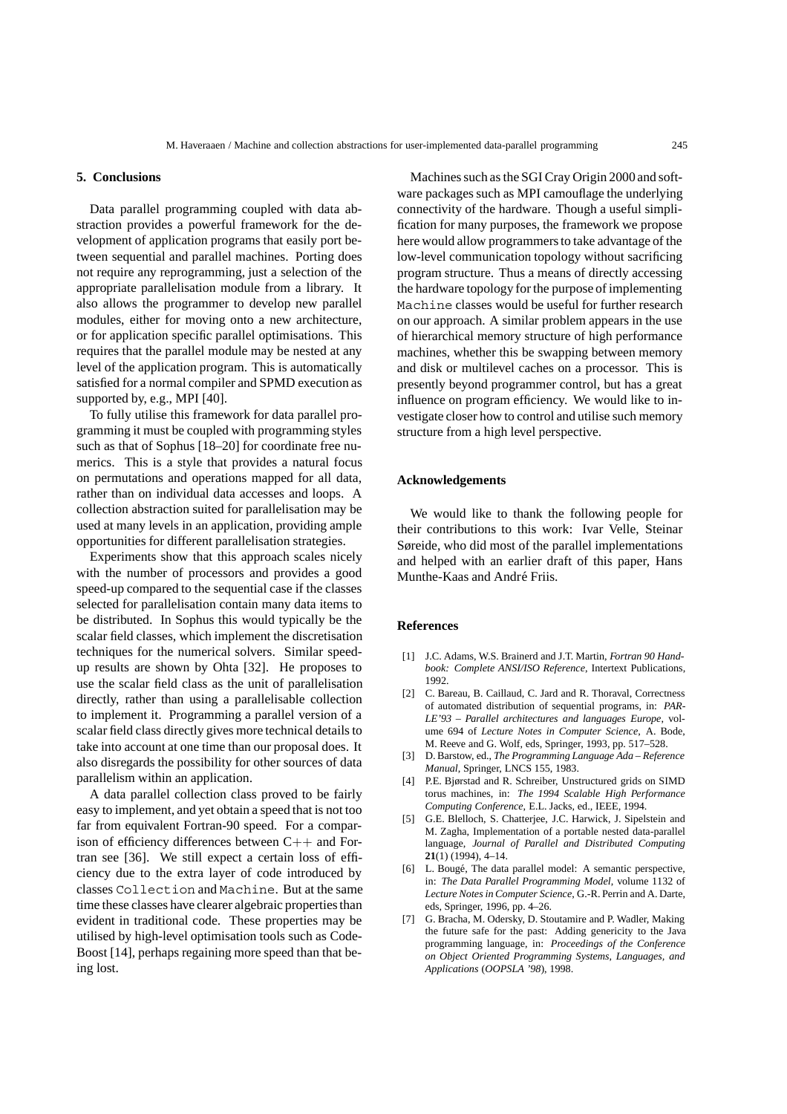#### **5. Conclusions**

Data parallel programming coupled with data abstraction provides a powerful framework for the development of application programs that easily port between sequential and parallel machines. Porting does not require any reprogramming, just a selection of the appropriate parallelisation module from a library. It also allows the programmer to develop new parallel modules, either for moving onto a new architecture, or for application specific parallel optimisations. This requires that the parallel module may be nested at any level of the application program. This is automatically satisfied for a normal compiler and SPMD execution as supported by, e.g., MPI [40].

To fully utilise this framework for data parallel programming it must be coupled with programming styles such as that of Sophus [18–20] for coordinate free numerics. This is a style that provides a natural focus on permutations and operations mapped for all data, rather than on individual data accesses and loops. A collection abstraction suited for parallelisation may be used at many levels in an application, providing ample opportunities for different parallelisation strategies.

Experiments show that this approach scales nicely with the number of processors and provides a good speed-up compared to the sequential case if the classes selected for parallelisation contain many data items to be distributed. In Sophus this would typically be the scalar field classes, which implement the discretisation techniques for the numerical solvers. Similar speedup results are shown by Ohta [32]. He proposes to use the scalar field class as the unit of parallelisation directly, rather than using a parallelisable collection to implement it. Programming a parallel version of a scalar field class directly gives more technical details to take into account at one time than our proposal does. It also disregards the possibility for other sources of data parallelism within an application.

A data parallel collection class proved to be fairly easy to implement, and yet obtain a speed that is not too far from equivalent Fortran-90 speed. For a comparison of efficiency differences between C++ and Fortran see [36]. We still expect a certain loss of efficiency due to the extra layer of code introduced by classes Collection and Machine. But at the same time these classes have clearer algebraic properties than evident in traditional code. These properties may be utilised by high-level optimisation tools such as Code-Boost [14], perhaps regaining more speed than that being lost.

Machines such as the SGI Cray Origin 2000 and software packages such as MPI camouflage the underlying connectivity of the hardware. Though a useful simplification for many purposes, the framework we propose here would allow programmers to take advantage of the low-level communication topology without sacrificing program structure. Thus a means of directly accessing the hardware topology for the purpose of implementing Machine classes would be useful for further research on our approach. A similar problem appears in the use of hierarchical memory structure of high performance machines, whether this be swapping between memory and disk or multilevel caches on a processor. This is presently beyond programmer control, but has a great influence on program efficiency. We would like to investigate closer how to control and utilise such memory structure from a high level perspective.

#### **Acknowledgements**

We would like to thank the following people for their contributions to this work: Ivar Velle, Steinar Søreide, who did most of the parallel implementations and helped with an earlier draft of this paper, Hans Munthe-Kaas and André Friis.

# **References**

- [1] J.C. Adams, W.S. Brainerd and J.T. Martin, *Fortran 90 Handbook: Complete ANSI/ISO Reference*, Intertext Publications, 1992.
- [2] C. Bareau, B. Caillaud, C. Jard and R. Thoraval, Correctness of automated distribution of sequential programs, in: *PAR-LE'93 – Parallel architectures and languages Europe*, volume 694 of *Lecture Notes in Computer Science*, A. Bode, M. Reeve and G. Wolf, eds, Springer, 1993, pp. 517–528.
- [3] D. Barstow, ed., *The Programming Language Ada Reference Manual*, Springer, LNCS 155, 1983.
- [4] P.E. Bjørstad and R. Schreiber, Unstructured grids on SIMD torus machines, in: *The 1994 Scalable High Performance Computing Conference*, E.L. Jacks, ed., IEEE, 1994.
- [5] G.E. Blelloch, S. Chatterjee, J.C. Harwick, J. Sipelstein and M. Zagha, Implementation of a portable nested data-parallel language, *Journal of Parallel and Distributed Computing* **21**(1) (1994), 4–14.
- [6] L. Bougé, The data parallel model: A semantic perspective, in: *The Data Parallel Programming Model*, volume 1132 of *Lecture Notes in Computer Science*, G.-R. Perrin and A. Darte, eds, Springer, 1996, pp. 4–26.
- [7] G. Bracha, M. Odersky, D. Stoutamire and P. Wadler, Making the future safe for the past: Adding genericity to the Java programming language, in: *Proceedings of the Conference on Object Oriented Programming Systems, Languages, and Applications* (*OOPSLA '98*), 1998.